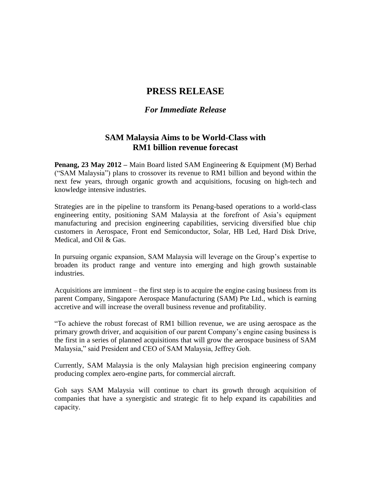## **PRESS RELEASE**

## *For Immediate Release*

## **SAM Malaysia Aims to be World-Class with RM1 billion revenue forecast**

**Penang, 23 May 2012 –** Main Board listed SAM Engineering & Equipment (M) Berhad ("SAM Malaysia") plans to crossover its revenue to RM1 billion and beyond within the next few years, through organic growth and acquisitions, focusing on high-tech and knowledge intensive industries.

Strategies are in the pipeline to transform its Penang-based operations to a world-class engineering entity, positioning SAM Malaysia at the forefront of Asia's equipment manufacturing and precision engineering capabilities, servicing diversified blue chip customers in Aerospace, Front end Semiconductor, Solar, HB Led, Hard Disk Drive, Medical, and Oil & Gas.

In pursuing organic expansion, SAM Malaysia will leverage on the Group's expertise to broaden its product range and venture into emerging and high growth sustainable industries.

Acquisitions are imminent – the first step is to acquire the engine casing business from its parent Company, Singapore Aerospace Manufacturing (SAM) Pte Ltd., which is earning accretive and will increase the overall business revenue and profitability.

"To achieve the robust forecast of RM1 billion revenue, we are using aerospace as the primary growth driver, and acquisition of our parent Company's engine casing business is the first in a series of planned acquisitions that will grow the aerospace business of SAM Malaysia," said President and CEO of SAM Malaysia, Jeffrey Goh.

Currently, SAM Malaysia is the only Malaysian high precision engineering company producing complex aero-engine parts, for commercial aircraft.

Goh says SAM Malaysia will continue to chart its growth through acquisition of companies that have a synergistic and strategic fit to help expand its capabilities and capacity.